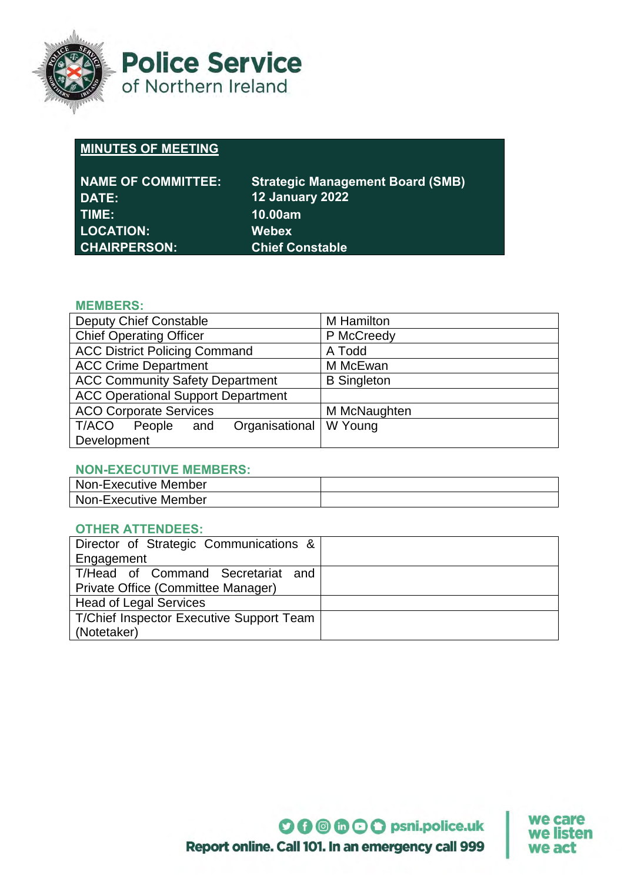

**Police Service** of Northern Ireland

# **MINUTES OF MEETING**

| <b>NAME OF COMMITTEE:</b> | <b>Strategic Management Board (SMB)</b> |
|---------------------------|-----------------------------------------|
| DATE:                     | <b>12 January 2022</b>                  |
| TIME:                     | <b>10.00am</b>                          |
| <b>LOCATION:</b>          | <b>Webex</b>                            |
| <b>CHAIRPERSON:</b>       | <b>Chief Constable</b>                  |

# **MEMBERS:**

| <b>Deputy Chief Constable</b>             | <b>M</b> Hamilton  |
|-------------------------------------------|--------------------|
| <b>Chief Operating Officer</b>            | P McCreedy         |
| <b>ACC District Policing Command</b>      | A Todd             |
| <b>ACC Crime Department</b>               | M McEwan           |
| <b>ACC Community Safety Department</b>    | <b>B</b> Singleton |
| <b>ACC Operational Support Department</b> |                    |
| <b>ACO Corporate Services</b>             | M McNaughten       |
| Organisational<br>T/ACO<br>People<br>and  | W Young            |
| Development                               |                    |

# **NON-EXECUTIVE MEMBERS:**

| <b>Non-Executive Member</b> |  |
|-----------------------------|--|
| <b>Non-Executive Member</b> |  |

# **OTHER ATTENDEES:**

| Director of Strategic Communications &          |  |
|-------------------------------------------------|--|
| Engagement                                      |  |
| T/Head of Command Secretariat and               |  |
| Private Office (Committee Manager)              |  |
| <b>Head of Legal Services</b>                   |  |
| <b>T/Chief Inspector Executive Support Team</b> |  |
| (Notetaker)                                     |  |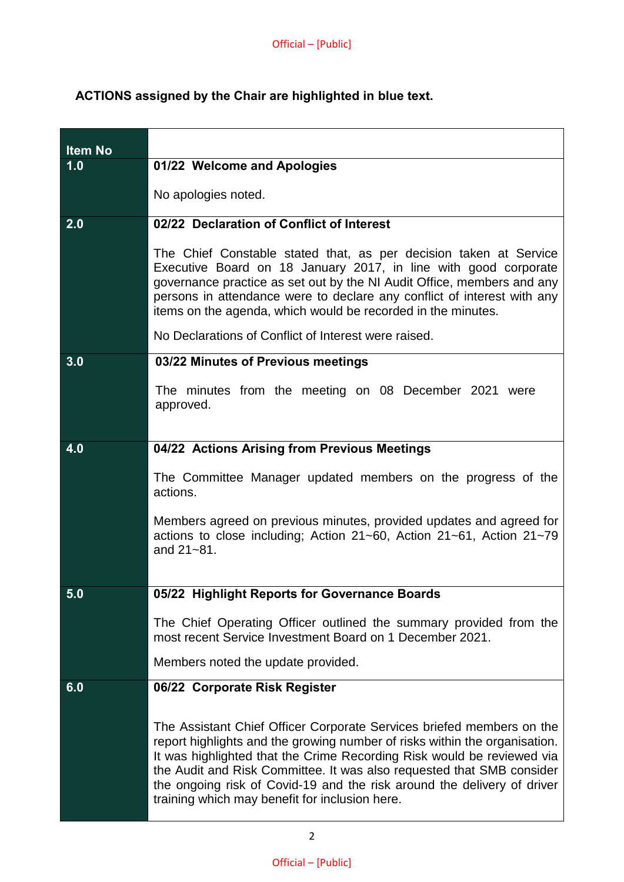# **ACTIONS assigned by the Chair are highlighted in blue text.**

| <b>Item No</b> |                                                                                                                                                                                                                                                                                                                                                                                                                                     |
|----------------|-------------------------------------------------------------------------------------------------------------------------------------------------------------------------------------------------------------------------------------------------------------------------------------------------------------------------------------------------------------------------------------------------------------------------------------|
| 1.0            | 01/22 Welcome and Apologies                                                                                                                                                                                                                                                                                                                                                                                                         |
|                | No apologies noted.                                                                                                                                                                                                                                                                                                                                                                                                                 |
| 2.0            | 02/22 Declaration of Conflict of Interest                                                                                                                                                                                                                                                                                                                                                                                           |
|                | The Chief Constable stated that, as per decision taken at Service<br>Executive Board on 18 January 2017, in line with good corporate<br>governance practice as set out by the NI Audit Office, members and any<br>persons in attendance were to declare any conflict of interest with any<br>items on the agenda, which would be recorded in the minutes.                                                                           |
|                | No Declarations of Conflict of Interest were raised.                                                                                                                                                                                                                                                                                                                                                                                |
| 3.0            | 03/22 Minutes of Previous meetings                                                                                                                                                                                                                                                                                                                                                                                                  |
|                | The minutes from the meeting on 08 December 2021 were<br>approved.                                                                                                                                                                                                                                                                                                                                                                  |
| 4.0            | 04/22 Actions Arising from Previous Meetings                                                                                                                                                                                                                                                                                                                                                                                        |
|                | The Committee Manager updated members on the progress of the<br>actions.                                                                                                                                                                                                                                                                                                                                                            |
|                | Members agreed on previous minutes, provided updates and agreed for<br>actions to close including; Action 21~60, Action 21~61, Action 21~79<br>and 21~81.                                                                                                                                                                                                                                                                           |
| 5.0            | 05/22 Highlight Reports for Governance Boards                                                                                                                                                                                                                                                                                                                                                                                       |
|                | The Chief Operating Officer outlined the summary provided from the<br>most recent Service Investment Board on 1 December 2021.                                                                                                                                                                                                                                                                                                      |
|                | Members noted the update provided.                                                                                                                                                                                                                                                                                                                                                                                                  |
| 6.0            | 06/22 Corporate Risk Register                                                                                                                                                                                                                                                                                                                                                                                                       |
|                | The Assistant Chief Officer Corporate Services briefed members on the<br>report highlights and the growing number of risks within the organisation.<br>It was highlighted that the Crime Recording Risk would be reviewed via<br>the Audit and Risk Committee. It was also requested that SMB consider<br>the ongoing risk of Covid-19 and the risk around the delivery of driver<br>training which may benefit for inclusion here. |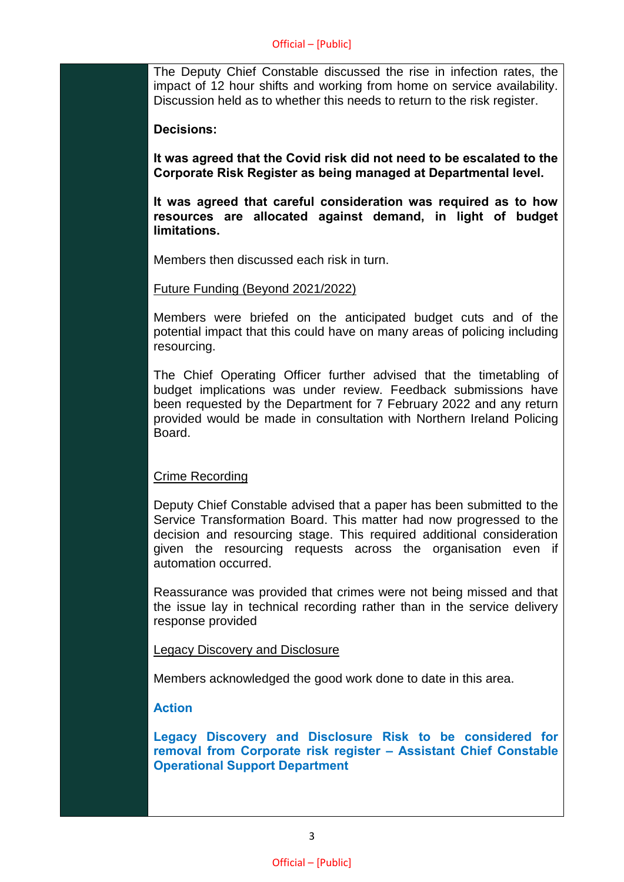The Deputy Chief Constable discussed the rise in infection rates, the impact of 12 hour shifts and working from home on service availability. Discussion held as to whether this needs to return to the risk register.

#### **Decisions:**

**It was agreed that the Covid risk did not need to be escalated to the Corporate Risk Register as being managed at Departmental level.**

**It was agreed that careful consideration was required as to how resources are allocated against demand, in light of budget limitations.**

Members then discussed each risk in turn.

### Future Funding (Beyond 2021/2022)

Members were briefed on the anticipated budget cuts and of the potential impact that this could have on many areas of policing including resourcing.

The Chief Operating Officer further advised that the timetabling of budget implications was under review. Feedback submissions have been requested by the Department for 7 February 2022 and any return provided would be made in consultation with Northern Ireland Policing **Board** 

## Crime Recording

Deputy Chief Constable advised that a paper has been submitted to the Service Transformation Board. This matter had now progressed to the decision and resourcing stage. This required additional consideration given the resourcing requests across the organisation even if automation occurred.

Reassurance was provided that crimes were not being missed and that the issue lay in technical recording rather than in the service delivery response provided

#### Legacy Discovery and Disclosure

Members acknowledged the good work done to date in this area.

## **Action**

**Legacy Discovery and Disclosure Risk to be considered for removal from Corporate risk register – Assistant Chief Constable Operational Support Department**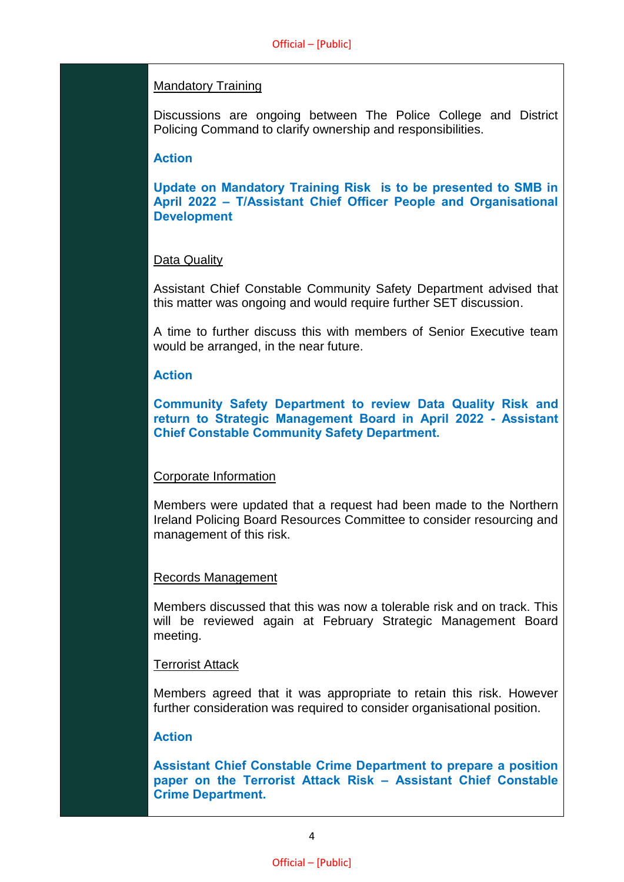## Mandatory Training

Discussions are ongoing between The Police College and District Policing Command to clarify ownership and responsibilities.

## **Action**

**Update on Mandatory Training Risk is to be presented to SMB in April 2022 – T/Assistant Chief Officer People and Organisational Development**

### Data Quality

Assistant Chief Constable Community Safety Department advised that this matter was ongoing and would require further SET discussion.

A time to further discuss this with members of Senior Executive team would be arranged, in the near future.

### **Action**

**Community Safety Department to review Data Quality Risk and return to Strategic Management Board in April 2022 - Assistant Chief Constable Community Safety Department.**

## Corporate Information

Members were updated that a request had been made to the Northern Ireland Policing Board Resources Committee to consider resourcing and management of this risk.

#### Records Management

Members discussed that this was now a tolerable risk and on track. This will be reviewed again at February Strategic Management Board meeting.

#### Terrorist Attack

Members agreed that it was appropriate to retain this risk. However further consideration was required to consider organisational position.

## **Action**

**Assistant Chief Constable Crime Department to prepare a position paper on the Terrorist Attack Risk – Assistant Chief Constable Crime Department.**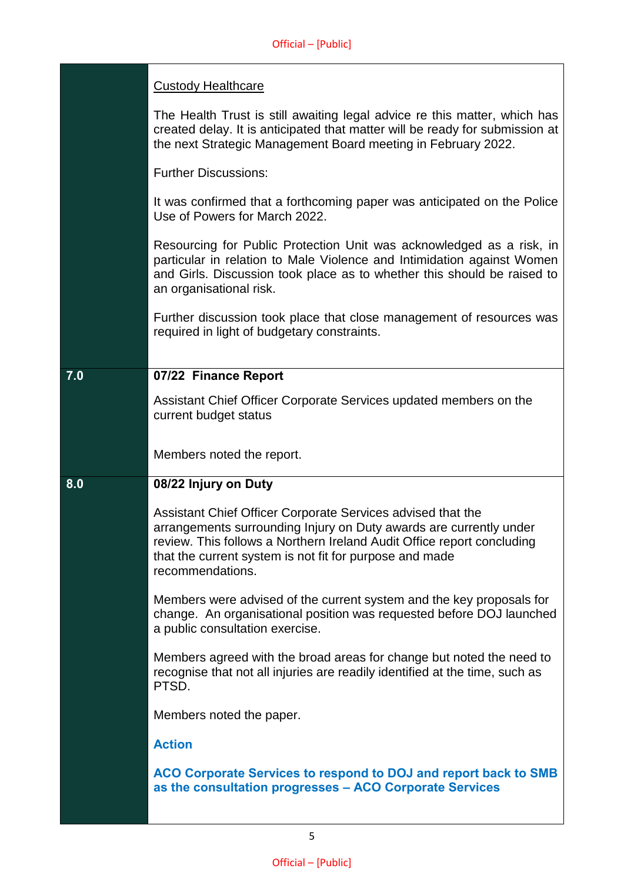|     | <b>Custody Healthcare</b>                                                                                                                                                                                                                                                                  |
|-----|--------------------------------------------------------------------------------------------------------------------------------------------------------------------------------------------------------------------------------------------------------------------------------------------|
|     | The Health Trust is still awaiting legal advice re this matter, which has<br>created delay. It is anticipated that matter will be ready for submission at<br>the next Strategic Management Board meeting in February 2022.                                                                 |
|     | <b>Further Discussions:</b>                                                                                                                                                                                                                                                                |
|     | It was confirmed that a forthcoming paper was anticipated on the Police<br>Use of Powers for March 2022.                                                                                                                                                                                   |
|     | Resourcing for Public Protection Unit was acknowledged as a risk, in<br>particular in relation to Male Violence and Intimidation against Women<br>and Girls. Discussion took place as to whether this should be raised to<br>an organisational risk.                                       |
|     | Further discussion took place that close management of resources was<br>required in light of budgetary constraints.                                                                                                                                                                        |
| 7.0 | 07/22 Finance Report                                                                                                                                                                                                                                                                       |
|     | Assistant Chief Officer Corporate Services updated members on the<br>current budget status                                                                                                                                                                                                 |
|     | Members noted the report.                                                                                                                                                                                                                                                                  |
| 8.0 | 08/22 Injury on Duty                                                                                                                                                                                                                                                                       |
|     | Assistant Chief Officer Corporate Services advised that the<br>arrangements surrounding Injury on Duty awards are currently under<br>review. This follows a Northern Ireland Audit Office report concluding<br>that the current system is not fit for purpose and made<br>recommendations. |
|     | Members were advised of the current system and the key proposals for<br>change. An organisational position was requested before DOJ launched<br>a public consultation exercise.                                                                                                            |
|     | Members agreed with the broad areas for change but noted the need to                                                                                                                                                                                                                       |
|     | recognise that not all injuries are readily identified at the time, such as<br>PTSD.                                                                                                                                                                                                       |
|     | Members noted the paper.                                                                                                                                                                                                                                                                   |
|     | <b>Action</b>                                                                                                                                                                                                                                                                              |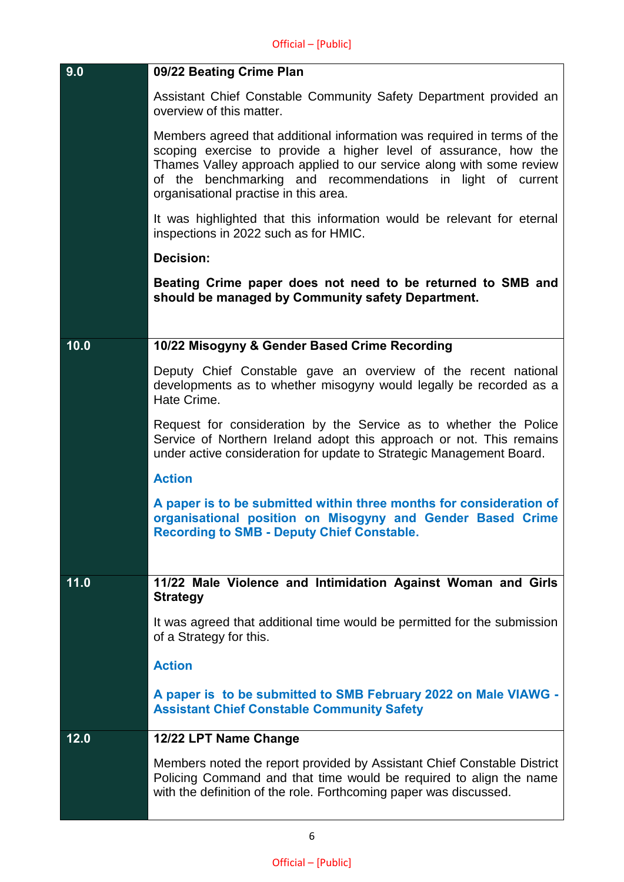| 9.0  | 09/22 Beating Crime Plan                                                                                                                                                                                                                                                                                                    |
|------|-----------------------------------------------------------------------------------------------------------------------------------------------------------------------------------------------------------------------------------------------------------------------------------------------------------------------------|
|      | Assistant Chief Constable Community Safety Department provided an<br>overview of this matter.                                                                                                                                                                                                                               |
|      | Members agreed that additional information was required in terms of the<br>scoping exercise to provide a higher level of assurance, how the<br>Thames Valley approach applied to our service along with some review<br>of the benchmarking and recommendations in light of current<br>organisational practise in this area. |
|      | It was highlighted that this information would be relevant for eternal<br>inspections in 2022 such as for HMIC.                                                                                                                                                                                                             |
|      | <b>Decision:</b>                                                                                                                                                                                                                                                                                                            |
|      | Beating Crime paper does not need to be returned to SMB and<br>should be managed by Community safety Department.                                                                                                                                                                                                            |
|      |                                                                                                                                                                                                                                                                                                                             |
| 10.0 | 10/22 Misogyny & Gender Based Crime Recording                                                                                                                                                                                                                                                                               |
|      | Deputy Chief Constable gave an overview of the recent national<br>developments as to whether misogyny would legally be recorded as a<br>Hate Crime.                                                                                                                                                                         |
|      | Request for consideration by the Service as to whether the Police<br>Service of Northern Ireland adopt this approach or not. This remains<br>under active consideration for update to Strategic Management Board.                                                                                                           |
|      | <b>Action</b>                                                                                                                                                                                                                                                                                                               |
|      | A paper is to be submitted within three months for consideration of<br>organisational position on Misogyny and Gender Based Crime<br><b>Recording to SMB - Deputy Chief Constable.</b>                                                                                                                                      |
|      |                                                                                                                                                                                                                                                                                                                             |
| 11.0 | 11/22 Male Violence and Intimidation Against Woman and Girls<br><b>Strategy</b>                                                                                                                                                                                                                                             |
|      | It was agreed that additional time would be permitted for the submission<br>of a Strategy for this.                                                                                                                                                                                                                         |
|      | <b>Action</b>                                                                                                                                                                                                                                                                                                               |
|      | A paper is to be submitted to SMB February 2022 on Male VIAWG -<br><b>Assistant Chief Constable Community Safety</b>                                                                                                                                                                                                        |
| 12.0 | 12/22 LPT Name Change                                                                                                                                                                                                                                                                                                       |
|      | Members noted the report provided by Assistant Chief Constable District<br>Policing Command and that time would be required to align the name<br>with the definition of the role. Forthcoming paper was discussed.                                                                                                          |